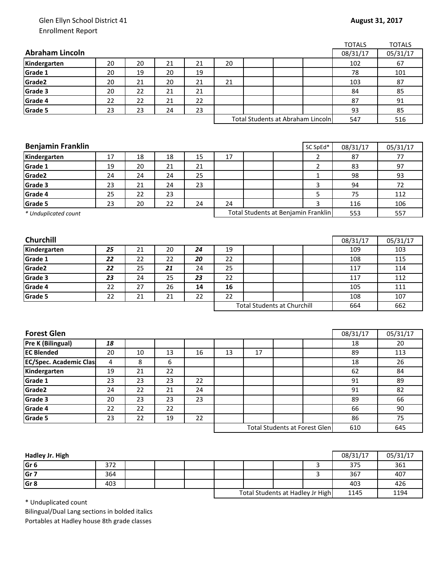## Glen Ellyn School District 41 Enrollment Report

|                               |    |    |    |    |    |    |                                      | <b>TOTALS</b> | <b>TOTALS</b>         |
|-------------------------------|----|----|----|----|----|----|--------------------------------------|---------------|-----------------------|
| <b>Abraham Lincoln</b>        |    |    |    |    |    |    |                                      | 08/31/17      | 05/31/17              |
| Kindergarten                  | 20 | 20 | 21 | 21 | 20 |    |                                      | 102           | 67                    |
| Grade 1                       | 20 | 19 | 20 | 19 |    |    |                                      | 78            | 101                   |
| Grade2                        | 20 | 21 | 20 | 21 | 21 |    |                                      | 103           | 87                    |
| Grade 3                       | 20 | 22 | 21 | 21 |    |    |                                      | 84            | 85                    |
| Grade 4                       | 22 | 22 | 21 | 22 |    |    |                                      | 87            | 91                    |
| Grade 5                       | 23 | 23 | 24 | 23 |    |    |                                      | 93            | 85                    |
|                               |    |    |    |    |    |    | Total Students at Abraham Lincoln    | 547           | 516                   |
|                               |    |    |    |    |    |    |                                      |               |                       |
|                               |    |    |    |    |    |    |                                      |               |                       |
| <b>Benjamin Franklin</b>      |    |    |    |    |    |    | SC SpEd*                             | 08/31/17      | 05/31/17              |
| Kindergarten                  | 17 | 18 | 18 | 15 | 17 |    | 2                                    | 87            | 77                    |
| Grade 1                       | 19 | 20 | 21 | 21 |    |    | $\overline{2}$                       | 83            | 97                    |
| Grade2                        | 24 | 24 | 24 | 25 |    |    | $\mathbf{1}$                         | 98            | 93                    |
| Grade 3                       | 23 | 21 | 24 | 23 |    |    | 3                                    | 94            | 72                    |
| Grade 4                       | 25 | 22 | 23 |    |    |    | 5                                    | 75            | 112                   |
| Grade 5                       | 23 | 20 | 22 | 24 | 24 |    | 3                                    | 116           | 106                   |
| * Unduplicated count          |    |    |    |    |    |    | Total Students at Benjamin Franklin  | 553           | 557                   |
|                               |    |    |    |    |    |    |                                      |               |                       |
|                               |    |    |    |    |    |    |                                      |               |                       |
| Churchill                     |    |    |    |    |    |    |                                      | 08/31/17      | 05/31/17              |
| Kindergarten                  | 25 | 21 | 20 | 24 | 19 |    |                                      | 109           | 103                   |
| Grade 1                       | 22 | 22 | 22 | 20 | 22 |    |                                      | 108           | 115                   |
| Grade2                        | 22 | 25 | 21 | 24 | 25 |    |                                      | 117           | 114                   |
| Grade 3                       | 23 | 24 | 25 | 23 | 22 |    |                                      | 117           | 112                   |
| Grade 4                       | 22 | 27 | 26 | 14 | 16 |    |                                      | 105           | 111                   |
| Grade 5                       | 22 | 21 | 21 | 22 | 22 |    |                                      | 108           | 107                   |
|                               |    |    |    |    |    |    | <b>Total Students at Churchill</b>   | 664           | 662                   |
|                               |    |    |    |    |    |    |                                      |               |                       |
|                               |    |    |    |    |    |    |                                      |               |                       |
| <b>Forest Glen</b>            |    |    |    |    |    |    |                                      | 08/31/17      | $\overline{05/3}1/17$ |
| Pre K (Bilingual)             | 18 |    |    |    |    |    |                                      | 18            | 20                    |
| <b>EC Blended</b>             | 20 | 10 | 13 | 16 | 13 | 17 |                                      | 89            | 113                   |
| <b>EC/Spec. Academic Clas</b> | 4  | 8  | 6  |    |    |    |                                      | 18            | 26                    |
| Kindergarten                  | 19 | 21 | 22 |    |    |    |                                      | 62            | 84                    |
| Grade 1                       | 23 | 23 | 23 | 22 |    |    |                                      | 91            | 89                    |
| Grade2                        | 24 | 22 | 21 | 24 |    |    |                                      | 91            | 82                    |
| Grade 3                       | 20 | 23 | 23 | 23 |    |    |                                      | 89            | 66                    |
| Grade 4                       | 22 | 22 | 22 |    |    |    |                                      | 66            | 90                    |
| Grade 5                       | 23 | 22 | 19 | 22 |    |    |                                      | 86            | 75                    |
|                               |    |    |    |    |    |    | <b>Total Students at Forest Glen</b> | 610           | 645                   |
|                               |    |    |    |    |    |    |                                      |               |                       |

| Hadley Jr. High |     |  |                                  |  |      | 08/31/17 | 05/31/17 |
|-----------------|-----|--|----------------------------------|--|------|----------|----------|
| Gr <sub>6</sub> | 372 |  |                                  |  |      | 375      | 361      |
| Gr <sub>7</sub> | 364 |  |                                  |  |      | 367      | 407      |
| Gr <sub>8</sub> | 403 |  |                                  |  |      | 403      | 426      |
|                 |     |  | Total Students at Hadley Jr High |  | 1145 | 1194     |          |

\* Unduplicated count

Bilingual/Dual Lang sections in bolded italics Portables at Hadley house 8th grade classes